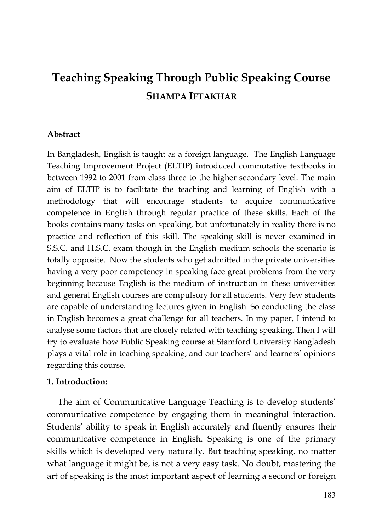# **Teaching Speaking Through Public Speaking Course SHAMPA IFTAKHAR**

# **Abstract**

In Bangladesh, English is taught as a foreign language. The English Language Teaching Improvement Project (ELTIP) introduced commutative textbooks in between 1992 to 2001 from class three to the higher secondary level. The main aim of ELTIP is to facilitate the teaching and learning of English with a methodology that will encourage students to acquire communicative competence in English through regular practice of these skills. Each of the books contains many tasks on speaking, but unfortunately in reality there is no practice and reflection of this skill. The speaking skill is never examined in S.S.C. and H.S.C. exam though in the English medium schools the scenario is totally opposite. Now the students who get admitted in the private universities having a very poor competency in speaking face great problems from the very beginning because English is the medium of instruction in these universities and general English courses are compulsory for all students. Very few students are capable of understanding lectures given in English. So conducting the class in English becomes a great challenge for all teachers. In my paper, I intend to analyse some factors that are closely related with teaching speaking. Then I will try to evaluate how Public Speaking course at Stamford University Bangladesh plays a vital role in teaching speaking, and our teachers' and learners' opinions regarding this course.

#### **1. Introduction:**

The aim of Communicative Language Teaching is to develop students' communicative competence by engaging them in meaningful interaction. Students' ability to speak in English accurately and fluently ensures their communicative competence in English. Speaking is one of the primary skills which is developed very naturally. But teaching speaking, no matter what language it might be, is not a very easy task. No doubt, mastering the art of speaking is the most important aspect of learning a second or foreign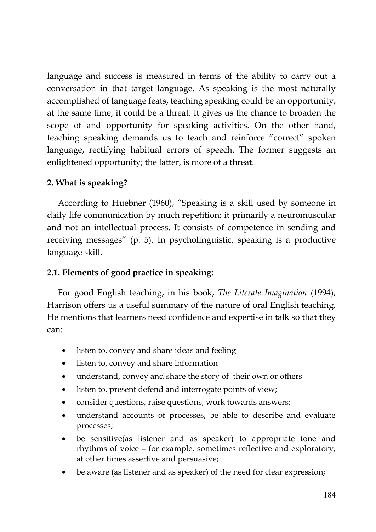language and success is measured in terms of the ability to carry out a conversation in that target language. As speaking is the most naturally accomplished of language feats, teaching speaking could be an opportunity, at the same time, it could be a threat. It gives us the chance to broaden the scope of and opportunity for speaking activities. On the other hand, teaching speaking demands us to teach and reinforce "correct" spoken language, rectifying habitual errors of speech. The former suggests an enlightened opportunity; the latter, is more of a threat.

# **2. What is speaking?**

According to Huebner (1960), "Speaking is a skill used by someone in daily life communication by much repetition; it primarily a neuromuscular and not an intellectual process. It consists of competence in sending and receiving messages" (p. 5). In psycholinguistic, speaking is a productive language skill.

# **2.1. Elements of good practice in speaking:**

For good English teaching, in his book, *The Literate Imagination* (1994), Harrison offers us a useful summary of the nature of oral English teaching. He mentions that learners need confidence and expertise in talk so that they can:

- listen to, convey and share ideas and feeling
- listen to, convey and share information
- understand, convey and share the story of their own or others
- listen to, present defend and interrogate points of view;
- consider questions, raise questions, work towards answers;
- understand accounts of processes, be able to describe and evaluate processes;
- be sensitive(as listener and as speaker) to appropriate tone and rhythms of voice – for example, sometimes reflective and exploratory, at other times assertive and persuasive;
- be aware (as listener and as speaker) of the need for clear expression;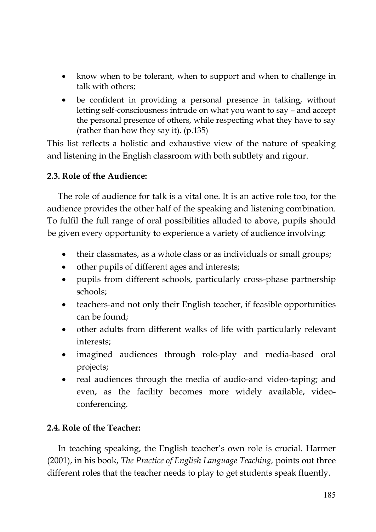- know when to be tolerant, when to support and when to challenge in talk with others;
- be confident in providing a personal presence in talking, without letting self-consciousness intrude on what you want to say – and accept the personal presence of others, while respecting what they have to say (rather than how they say it). (p.135)

This list reflects a holistic and exhaustive view of the nature of speaking and listening in the English classroom with both subtlety and rigour.

# **2.3. Role of the Audience:**

The role of audience for talk is a vital one. It is an active role too, for the audience provides the other half of the speaking and listening combination. To fulfil the full range of oral possibilities alluded to above, pupils should be given every opportunity to experience a variety of audience involving:

- their classmates, as a whole class or as individuals or small groups;
- other pupils of different ages and interests;
- pupils from different schools, particularly cross-phase partnership schools;
- teachers-and not only their English teacher, if feasible opportunities can be found;
- other adults from different walks of life with particularly relevant interests;
- imagined audiences through role-play and media-based oral projects;
- real audiences through the media of audio-and video-taping; and even, as the facility becomes more widely available, videoconferencing.

# **2.4. Role of the Teacher:**

In teaching speaking, the English teacher's own role is crucial. Harmer (2001), in his book, *The Practice of English Language Teaching,* points out three different roles that the teacher needs to play to get students speak fluently.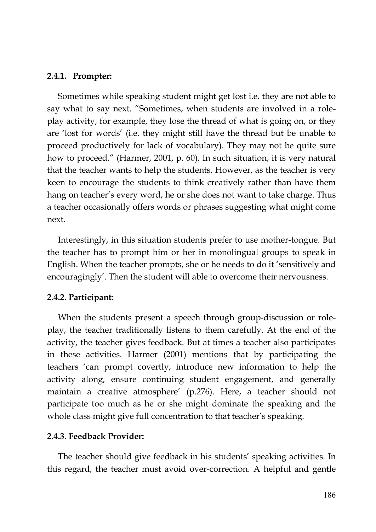#### **2.4.1. Prompter:**

Sometimes while speaking student might get lost i.e. they are not able to say what to say next. "Sometimes, when students are involved in a roleplay activity, for example, they lose the thread of what is going on, or they are 'lost for words' (i.e. they might still have the thread but be unable to proceed productively for lack of vocabulary). They may not be quite sure how to proceed." (Harmer, 2001, p. 60). In such situation, it is very natural that the teacher wants to help the students. However, as the teacher is very keen to encourage the students to think creatively rather than have them hang on teacher's every word, he or she does not want to take charge. Thus a teacher occasionally offers words or phrases suggesting what might come next.

Interestingly, in this situation students prefer to use mother-tongue. But the teacher has to prompt him or her in monolingual groups to speak in English. When the teacher prompts, she or he needs to do it 'sensitively and encouragingly'. Then the student will able to overcome their nervousness.

#### **2.4.2**. **Participant:**

When the students present a speech through group-discussion or roleplay, the teacher traditionally listens to them carefully. At the end of the activity, the teacher gives feedback. But at times a teacher also participates in these activities. Harmer (2001) mentions that by participating the teachers 'can prompt covertly, introduce new information to help the activity along, ensure continuing student engagement, and generally maintain a creative atmosphere' (p.276). Here, a teacher should not participate too much as he or she might dominate the speaking and the whole class might give full concentration to that teacher's speaking.

#### **2.4.3. Feedback Provider:**

The teacher should give feedback in his students' speaking activities. In this regard, the teacher must avoid over-correction. A helpful and gentle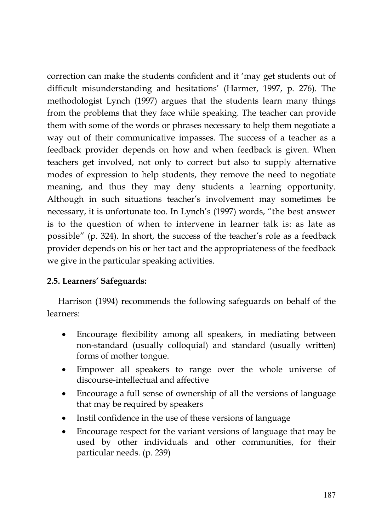correction can make the students confident and it 'may get students out of difficult misunderstanding and hesitations' (Harmer, 1997, p. 276). The methodologist Lynch (1997) argues that the students learn many things from the problems that they face while speaking. The teacher can provide them with some of the words or phrases necessary to help them negotiate a way out of their communicative impasses. The success of a teacher as a feedback provider depends on how and when feedback is given. When teachers get involved, not only to correct but also to supply alternative modes of expression to help students, they remove the need to negotiate meaning, and thus they may deny students a learning opportunity. Although in such situations teacher's involvement may sometimes be necessary, it is unfortunate too. In Lynch's (1997) words, "the best answer is to the question of when to intervene in learner talk is: as late as possible" (p. 324). In short, the success of the teacher's role as a feedback provider depends on his or her tact and the appropriateness of the feedback we give in the particular speaking activities.

# **2.5. Learners' Safeguards:**

Harrison (1994) recommends the following safeguards on behalf of the learners:

- Encourage flexibility among all speakers, in mediating between non-standard (usually colloquial) and standard (usually written) forms of mother tongue.
- Empower all speakers to range over the whole universe of discourse-intellectual and affective
- Encourage a full sense of ownership of all the versions of language that may be required by speakers
- Instil confidence in the use of these versions of language
- Encourage respect for the variant versions of language that may be used by other individuals and other communities, for their particular needs. (p. 239)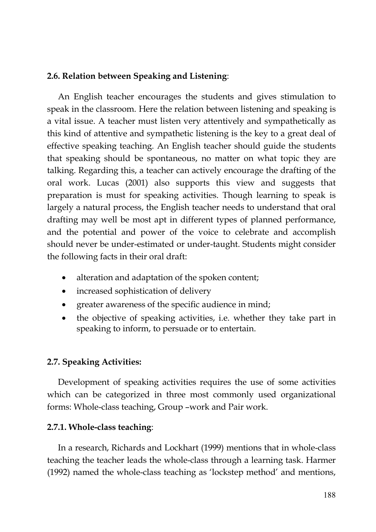# **2.6. Relation between Speaking and Listening**:

An English teacher encourages the students and gives stimulation to speak in the classroom. Here the relation between listening and speaking is a vital issue. A teacher must listen very attentively and sympathetically as this kind of attentive and sympathetic listening is the key to a great deal of effective speaking teaching. An English teacher should guide the students that speaking should be spontaneous, no matter on what topic they are talking. Regarding this, a teacher can actively encourage the drafting of the oral work. Lucas (2001) also supports this view and suggests that preparation is must for speaking activities. Though learning to speak is largely a natural process, the English teacher needs to understand that oral drafting may well be most apt in different types of planned performance, and the potential and power of the voice to celebrate and accomplish should never be under-estimated or under-taught. Students might consider the following facts in their oral draft:

- alteration and adaptation of the spoken content;
- increased sophistication of delivery
- greater awareness of the specific audience in mind;
- the objective of speaking activities, i.e. whether they take part in speaking to inform, to persuade or to entertain.

# **2.7. Speaking Activities:**

Development of speaking activities requires the use of some activities which can be categorized in three most commonly used organizational forms: Whole-class teaching, Group –work and Pair work.

# **2.7.1. Whole-class teaching**:

In a research, Richards and Lockhart (1999) mentions that in whole-class teaching the teacher leads the whole-class through a learning task. Harmer (1992) named the whole-class teaching as 'lockstep method' and mentions,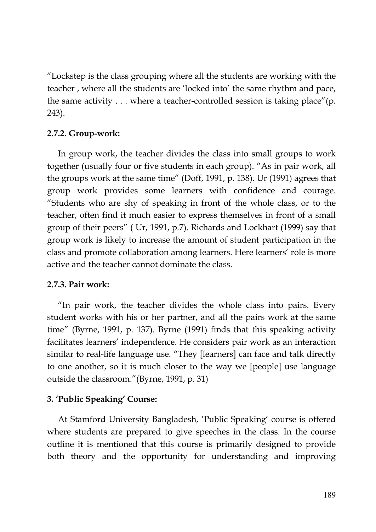"Lockstep is the class grouping where all the students are working with the teacher , where all the students are 'locked into' the same rhythm and pace, the same activity . . . where a teacher-controlled session is taking place"(p. 243).

# **2.7.2. Group-work:**

In group work, the teacher divides the class into small groups to work together (usually four or five students in each group). "As in pair work, all the groups work at the same time" (Doff, 1991, p. 138). Ur (1991) agrees that group work provides some learners with confidence and courage. "Students who are shy of speaking in front of the whole class, or to the teacher, often find it much easier to express themselves in front of a small group of their peers" ( Ur, 1991, p.7). Richards and Lockhart (1999) say that group work is likely to increase the amount of student participation in the class and promote collaboration among learners. Here learners' role is more active and the teacher cannot dominate the class.

#### **2.7.3. Pair work:**

"In pair work, the teacher divides the whole class into pairs. Every student works with his or her partner, and all the pairs work at the same time" (Byrne, 1991, p. 137). Byrne (1991) finds that this speaking activity facilitates learners' independence. He considers pair work as an interaction similar to real-life language use. "They [learners] can face and talk directly to one another, so it is much closer to the way we [people] use language outside the classroom."(Byrne, 1991, p. 31)

# **3. 'Public Speaking' Course:**

At Stamford University Bangladesh, 'Public Speaking' course is offered where students are prepared to give speeches in the class. In the course outline it is mentioned that this course is primarily designed to provide both theory and the opportunity for understanding and improving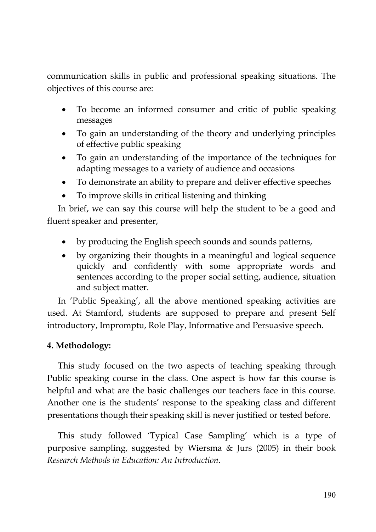communication skills in public and professional speaking situations. The objectives of this course are:

- To become an informed consumer and critic of public speaking messages
- To gain an understanding of the theory and underlying principles of effective public speaking
- To gain an understanding of the importance of the techniques for adapting messages to a variety of audience and occasions
- To demonstrate an ability to prepare and deliver effective speeches
- To improve skills in critical listening and thinking

In brief, we can say this course will help the student to be a good and fluent speaker and presenter,

- by producing the English speech sounds and sounds patterns,
- by organizing their thoughts in a meaningful and logical sequence quickly and confidently with some appropriate words and sentences according to the proper social setting, audience, situation and subject matter.

In 'Public Speaking', all the above mentioned speaking activities are used. At Stamford, students are supposed to prepare and present Self introductory, Impromptu, Role Play, Informative and Persuasive speech.

# **4. Methodology:**

This study focused on the two aspects of teaching speaking through Public speaking course in the class. One aspect is how far this course is helpful and what are the basic challenges our teachers face in this course. Another one is the students' response to the speaking class and different presentations though their speaking skill is never justified or tested before.

This study followed 'Typical Case Sampling' which is a type of purposive sampling, suggested by Wiersma & Jurs (2005) in their book *Research Methods in Education: An Introduction*.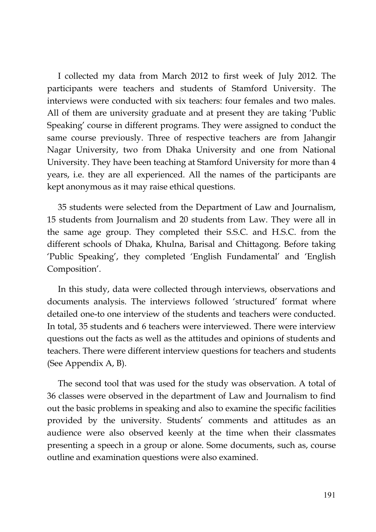I collected my data from March 2012 to first week of July 2012. The participants were teachers and students of Stamford University. The interviews were conducted with six teachers: four females and two males. All of them are university graduate and at present they are taking 'Public Speaking' course in different programs. They were assigned to conduct the same course previously. Three of respective teachers are from Jahangir Nagar University, two from Dhaka University and one from National University. They have been teaching at Stamford University for more than 4 years, i.e. they are all experienced. All the names of the participants are kept anonymous as it may raise ethical questions.

35 students were selected from the Department of Law and Journalism, 15 students from Journalism and 20 students from Law. They were all in the same age group. They completed their S.S.C. and H.S.C. from the different schools of Dhaka, Khulna, Barisal and Chittagong. Before taking 'Public Speaking', they completed 'English Fundamental' and 'English Composition'.

In this study, data were collected through interviews, observations and documents analysis. The interviews followed 'structured' format where detailed one-to one interview of the students and teachers were conducted. In total, 35 students and 6 teachers were interviewed. There were interview questions out the facts as well as the attitudes and opinions of students and teachers. There were different interview questions for teachers and students (See Appendix A, B).

The second tool that was used for the study was observation. A total of 36 classes were observed in the department of Law and Journalism to find out the basic problems in speaking and also to examine the specific facilities provided by the university. Students' comments and attitudes as an audience were also observed keenly at the time when their classmates presenting a speech in a group or alone. Some documents, such as, course outline and examination questions were also examined.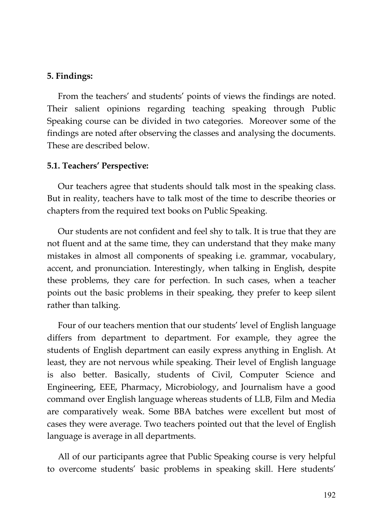#### **5. Findings:**

From the teachers' and students' points of views the findings are noted. Their salient opinions regarding teaching speaking through Public Speaking course can be divided in two categories. Moreover some of the findings are noted after observing the classes and analysing the documents. These are described below.

#### **5.1. Teachers' Perspective:**

Our teachers agree that students should talk most in the speaking class. But in reality, teachers have to talk most of the time to describe theories or chapters from the required text books on Public Speaking.

Our students are not confident and feel shy to talk. It is true that they are not fluent and at the same time, they can understand that they make many mistakes in almost all components of speaking i.e. grammar, vocabulary, accent, and pronunciation. Interestingly, when talking in English, despite these problems, they care for perfection. In such cases, when a teacher points out the basic problems in their speaking, they prefer to keep silent rather than talking.

Four of our teachers mention that our students' level of English language differs from department to department. For example, they agree the students of English department can easily express anything in English. At least, they are not nervous while speaking. Their level of English language is also better. Basically, students of Civil, Computer Science and Engineering, EEE, Pharmacy, Microbiology, and Journalism have a good command over English language whereas students of LLB, Film and Media are comparatively weak. Some BBA batches were excellent but most of cases they were average. Two teachers pointed out that the level of English language is average in all departments.

All of our participants agree that Public Speaking course is very helpful to overcome students' basic problems in speaking skill. Here students'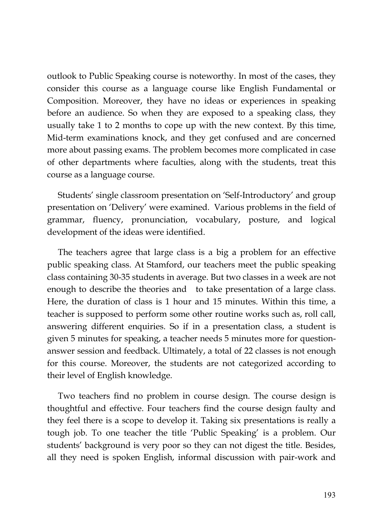outlook to Public Speaking course is noteworthy. In most of the cases, they consider this course as a language course like English Fundamental or Composition. Moreover, they have no ideas or experiences in speaking before an audience. So when they are exposed to a speaking class, they usually take 1 to 2 months to cope up with the new context. By this time, Mid-term examinations knock, and they get confused and are concerned more about passing exams. The problem becomes more complicated in case of other departments where faculties, along with the students, treat this course as a language course.

Students' single classroom presentation on 'Self-Introductory' and group presentation on 'Delivery' were examined. Various problems in the field of grammar, fluency, pronunciation, vocabulary, posture, and logical development of the ideas were identified.

The teachers agree that large class is a big a problem for an effective public speaking class. At Stamford, our teachers meet the public speaking class containing 30-35 students in average. But two classes in a week are not enough to describe the theories and to take presentation of a large class. Here, the duration of class is 1 hour and 15 minutes. Within this time, a teacher is supposed to perform some other routine works such as, roll call, answering different enquiries. So if in a presentation class, a student is given 5 minutes for speaking, a teacher needs 5 minutes more for questionanswer session and feedback. Ultimately, a total of 22 classes is not enough for this course. Moreover, the students are not categorized according to their level of English knowledge.

Two teachers find no problem in course design. The course design is thoughtful and effective. Four teachers find the course design faulty and they feel there is a scope to develop it. Taking six presentations is really a tough job. To one teacher the title 'Public Speaking' is a problem. Our students' background is very poor so they can not digest the title. Besides, all they need is spoken English, informal discussion with pair-work and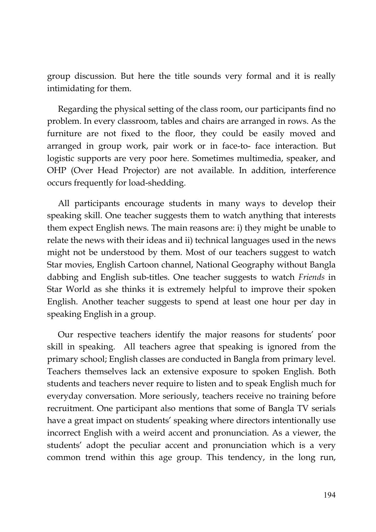group discussion. But here the title sounds very formal and it is really intimidating for them.

Regarding the physical setting of the class room, our participants find no problem. In every classroom, tables and chairs are arranged in rows. As the furniture are not fixed to the floor, they could be easily moved and arranged in group work, pair work or in face-to- face interaction. But logistic supports are very poor here. Sometimes multimedia, speaker, and OHP (Over Head Projector) are not available. In addition, interference occurs frequently for load-shedding.

All participants encourage students in many ways to develop their speaking skill. One teacher suggests them to watch anything that interests them expect English news. The main reasons are: i) they might be unable to relate the news with their ideas and ii) technical languages used in the news might not be understood by them. Most of our teachers suggest to watch Star movies, English Cartoon channel, National Geography without Bangla dabbing and English sub-titles. One teacher suggests to watch *Friends* in Star World as she thinks it is extremely helpful to improve their spoken English. Another teacher suggests to spend at least one hour per day in speaking English in a group.

Our respective teachers identify the major reasons for students' poor skill in speaking. All teachers agree that speaking is ignored from the primary school; English classes are conducted in Bangla from primary level. Teachers themselves lack an extensive exposure to spoken English. Both students and teachers never require to listen and to speak English much for everyday conversation. More seriously, teachers receive no training before recruitment. One participant also mentions that some of Bangla TV serials have a great impact on students' speaking where directors intentionally use incorrect English with a weird accent and pronunciation. As a viewer, the students' adopt the peculiar accent and pronunciation which is a very common trend within this age group. This tendency, in the long run,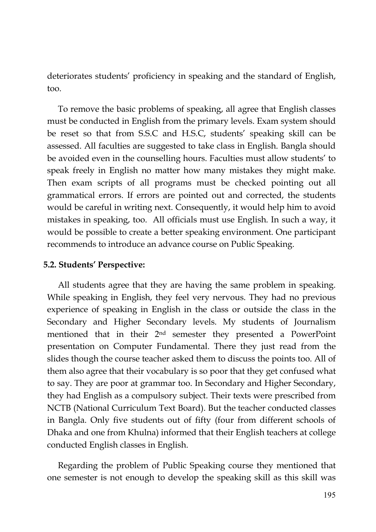deteriorates students' proficiency in speaking and the standard of English, too.

To remove the basic problems of speaking, all agree that English classes must be conducted in English from the primary levels. Exam system should be reset so that from S.S.C and H.S.C, students' speaking skill can be assessed. All faculties are suggested to take class in English. Bangla should be avoided even in the counselling hours. Faculties must allow students' to speak freely in English no matter how many mistakes they might make. Then exam scripts of all programs must be checked pointing out all grammatical errors. If errors are pointed out and corrected, the students would be careful in writing next. Consequently, it would help him to avoid mistakes in speaking, too. All officials must use English. In such a way, it would be possible to create a better speaking environment. One participant recommends to introduce an advance course on Public Speaking.

#### **5.2. Students' Perspective:**

All students agree that they are having the same problem in speaking. While speaking in English, they feel very nervous. They had no previous experience of speaking in English in the class or outside the class in the Secondary and Higher Secondary levels. My students of Journalism mentioned that in their 2nd semester they presented a PowerPoint presentation on Computer Fundamental. There they just read from the slides though the course teacher asked them to discuss the points too. All of them also agree that their vocabulary is so poor that they get confused what to say. They are poor at grammar too. In Secondary and Higher Secondary, they had English as a compulsory subject. Their texts were prescribed from NCTB (National Curriculum Text Board). But the teacher conducted classes in Bangla. Only five students out of fifty (four from different schools of Dhaka and one from Khulna) informed that their English teachers at college conducted English classes in English.

Regarding the problem of Public Speaking course they mentioned that one semester is not enough to develop the speaking skill as this skill was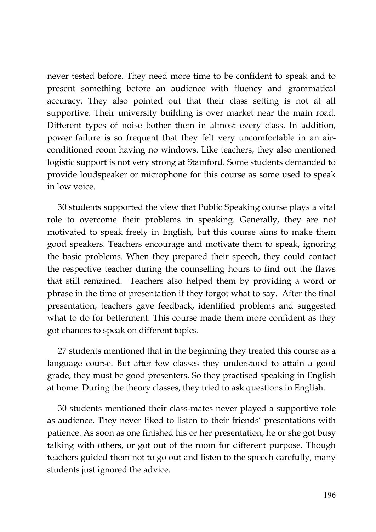never tested before. They need more time to be confident to speak and to present something before an audience with fluency and grammatical accuracy. They also pointed out that their class setting is not at all supportive. Their university building is over market near the main road. Different types of noise bother them in almost every class. In addition, power failure is so frequent that they felt very uncomfortable in an airconditioned room having no windows. Like teachers, they also mentioned logistic support is not very strong at Stamford. Some students demanded to provide loudspeaker or microphone for this course as some used to speak in low voice.

30 students supported the view that Public Speaking course plays a vital role to overcome their problems in speaking. Generally, they are not motivated to speak freely in English, but this course aims to make them good speakers. Teachers encourage and motivate them to speak, ignoring the basic problems. When they prepared their speech, they could contact the respective teacher during the counselling hours to find out the flaws that still remained. Teachers also helped them by providing a word or phrase in the time of presentation if they forgot what to say. After the final presentation, teachers gave feedback, identified problems and suggested what to do for betterment. This course made them more confident as they got chances to speak on different topics.

27 students mentioned that in the beginning they treated this course as a language course. But after few classes they understood to attain a good grade, they must be good presenters. So they practised speaking in English at home. During the theory classes, they tried to ask questions in English.

30 students mentioned their class-mates never played a supportive role as audience. They never liked to listen to their friends' presentations with patience. As soon as one finished his or her presentation, he or she got busy talking with others, or got out of the room for different purpose. Though teachers guided them not to go out and listen to the speech carefully, many students just ignored the advice.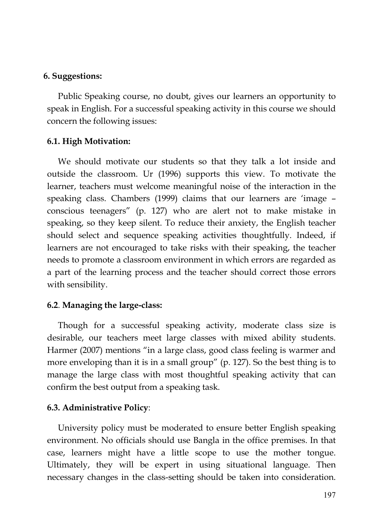#### **6. Suggestions:**

Public Speaking course, no doubt, gives our learners an opportunity to speak in English. For a successful speaking activity in this course we should concern the following issues:

# **6.1. High Motivation:**

We should motivate our students so that they talk a lot inside and outside the classroom. Ur (1996) supports this view. To motivate the learner, teachers must welcome meaningful noise of the interaction in the speaking class. Chambers (1999) claims that our learners are 'image – conscious teenagers" (p. 127) who are alert not to make mistake in speaking, so they keep silent. To reduce their anxiety, the English teacher should select and sequence speaking activities thoughtfully. Indeed, if learners are not encouraged to take risks with their speaking, the teacher needs to promote a classroom environment in which errors are regarded as a part of the learning process and the teacher should correct those errors with sensibility.

# **6.2**. **Managing the large-class:**

Though for a successful speaking activity, moderate class size is desirable, our teachers meet large classes with mixed ability students. Harmer (2007) mentions "in a large class, good class feeling is warmer and more enveloping than it is in a small group" (p. 127). So the best thing is to manage the large class with most thoughtful speaking activity that can confirm the best output from a speaking task.

# **6.3. Administrative Policy**:

University policy must be moderated to ensure better English speaking environment. No officials should use Bangla in the office premises. In that case, learners might have a little scope to use the mother tongue. Ultimately, they will be expert in using situational language. Then necessary changes in the class-setting should be taken into consideration.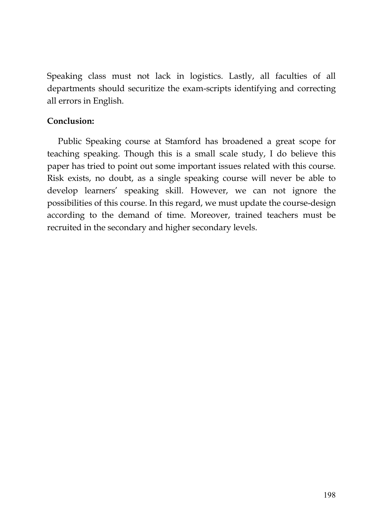Speaking class must not lack in logistics. Lastly, all faculties of all departments should securitize the exam-scripts identifying and correcting all errors in English.

# **Conclusion:**

Public Speaking course at Stamford has broadened a great scope for teaching speaking. Though this is a small scale study, I do believe this paper has tried to point out some important issues related with this course. Risk exists, no doubt, as a single speaking course will never be able to develop learners' speaking skill. However, we can not ignore the possibilities of this course. In this regard, we must update the course-design according to the demand of time. Moreover, trained teachers must be recruited in the secondary and higher secondary levels.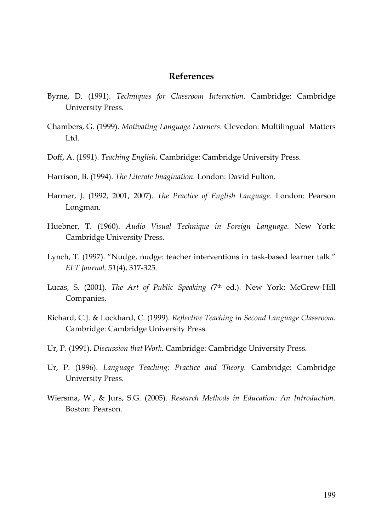#### **References**

- Byrne, D. (1991). *Techniques for Classroom Interaction.* Cambridge: Cambridge University Press.
- Chambers, G. (1999). *Motivating Language Learners*. Clevedon: Multilingual Matters Ltd.
- Doff, A. (1991). *Teaching English.* Cambridge: Cambridge University Press.
- Harrison, B. (1994). *The Literate Imagination.* London: David Fulton.
- Harmer, J. (1992, 2001, 2007). *The Practice of English Language*. London: Pearson Longman.
- Huebner, T. (1960). *Audio Visual Technique in Foreign Language.* New York: Cambridge University Press.
- Lynch, T. (1997). "Nudge, nudge: teacher interventions in task-based learner talk." *ELT Journal, 51*(4), 317-325.
- Lucas, S. (2001). *The Art of Public Speaking (*7<sup>th</sup> ed.). New York: McGrew-Hill Companies.
- Richard, C.J. & Lockhard, C. (1999). *Reflective Teaching in Second Language Classroom.* Cambridge: Cambridge University Press.
- Ur, P. (1991). *Discussion that Work.* Cambridge: Cambridge University Press.
- Ur, P. (1996). *Language Teaching: Practice and Theory.* Cambridge: Cambridge University Press.
- Wiersma, W., & Jurs, S.G. (2005). *Research Methods in Education: An Introduction.* Boston: Pearson.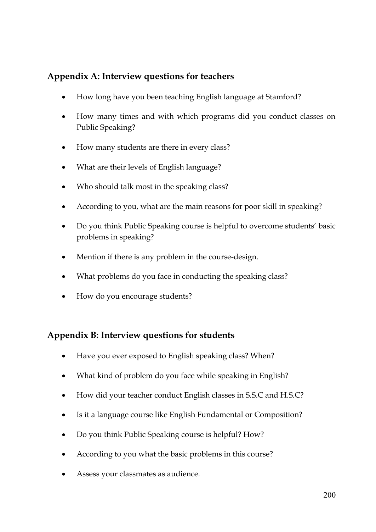# **Appendix A: Interview questions for teachers**

- How long have you been teaching English language at Stamford?
- How many times and with which programs did you conduct classes on Public Speaking?
- How many students are there in every class?
- What are their levels of English language?
- Who should talk most in the speaking class?
- According to you, what are the main reasons for poor skill in speaking?
- Do you think Public Speaking course is helpful to overcome students' basic problems in speaking?
- Mention if there is any problem in the course-design.
- What problems do you face in conducting the speaking class?
- How do you encourage students?

# **Appendix B: Interview questions for students**

- Have you ever exposed to English speaking class? When?
- What kind of problem do you face while speaking in English?
- How did your teacher conduct English classes in S.S.C and H.S.C?
- Is it a language course like English Fundamental or Composition?
- Do you think Public Speaking course is helpful? How?
- According to you what the basic problems in this course?
- Assess your classmates as audience.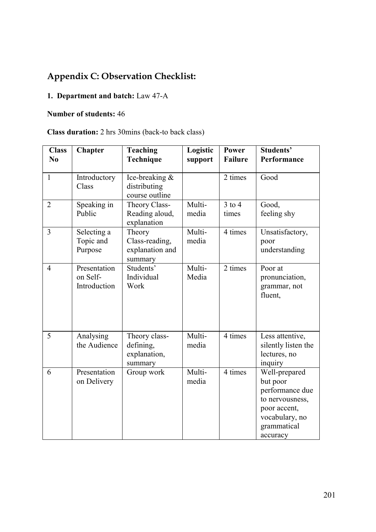# **Appendix C: Observation Checklist:**

# **1. Department and batch:** Law 47-A

# **Number of students:** 46

**Class duration:** 2 hrs 30mins (back-to back class)

| <b>Class</b><br>No | Chapter                                  | <b>Teaching</b><br>Technique                           | Logistic<br>support | Power<br><b>Failure</b> | Students'<br>Performance                                                                                                     |
|--------------------|------------------------------------------|--------------------------------------------------------|---------------------|-------------------------|------------------------------------------------------------------------------------------------------------------------------|
| $\mathbf{1}$       | Introductory<br>Class                    | Ice-breaking &<br>distributing<br>course outline       |                     | 2 times                 | Good                                                                                                                         |
| $\overline{2}$     | Speaking in<br>Public                    | Theory Class-<br>Reading aloud,<br>explanation         | Multi-<br>media     | $3$ to $4$<br>times     | Good,<br>feeling shy                                                                                                         |
| 3                  | Selecting a<br>Topic and<br>Purpose      | Theory<br>Class-reading,<br>explanation and<br>summary | Multi-<br>media     | 4 times                 | Unsatisfactory,<br>poor<br>understanding                                                                                     |
| $\overline{4}$     | Presentation<br>on Self-<br>Introduction | Students'<br>Individual<br>Work                        | Multi-<br>Media     | 2 times                 | Poor at<br>pronunciation,<br>grammar, not<br>fluent,                                                                         |
| 5                  | Analysing<br>the Audience                | Theory class-<br>defining,<br>explanation,<br>summary  | Multi-<br>media     | 4 times                 | Less attentive,<br>silently listen the<br>lectures, no<br>inquiry                                                            |
| 6                  | Presentation<br>on Delivery              | Group work                                             | Multi-<br>media     | $\overline{4}$ times    | Well-prepared<br>but poor<br>performance due<br>to nervousness,<br>poor accent,<br>vocabulary, no<br>grammatical<br>accuracy |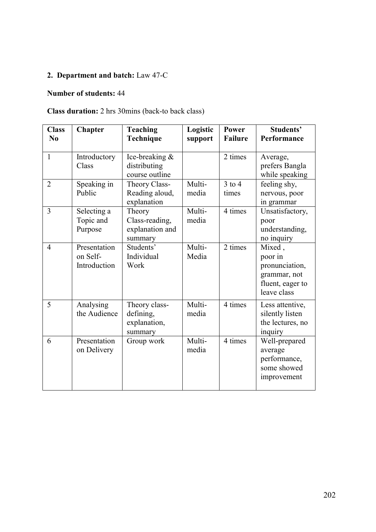# **2. Department and batch:** Law 47-C

# **Number of students:** 44

# **Class duration:** 2 hrs 30mins (back-to back class)

| <b>Class</b><br>N <sub>0</sub> | Chapter                                  | <b>Teaching</b><br>Technique                           | Logistic<br>support | Power<br><b>Failure</b> | Students'<br>Performance                                                               |
|--------------------------------|------------------------------------------|--------------------------------------------------------|---------------------|-------------------------|----------------------------------------------------------------------------------------|
| $\mathbf{1}$                   | Introductory<br>Class                    | Ice-breaking &<br>distributing<br>course outline       |                     | 2 times                 | Average,<br>prefers Bangla<br>while speaking                                           |
| $\overline{2}$                 | Speaking in<br>Public                    | Theory Class-<br>Reading aloud,<br>explanation         | Multi-<br>media     | $3$ to $4$<br>times     | feeling shy,<br>nervous, poor<br>in grammar                                            |
| 3                              | Selecting a<br>Topic and<br>Purpose      | Theory<br>Class-reading,<br>explanation and<br>summary | Multi-<br>media     | 4 times                 | Unsatisfactory,<br>poor<br>understanding,<br>no inquiry                                |
| $\overline{4}$                 | Presentation<br>on Self-<br>Introduction | Students'<br>Individual<br>Work                        | Multi-<br>Media     | 2 times                 | Mixed.<br>poor in<br>pronunciation,<br>grammar, not<br>fluent, eager to<br>leave class |
| 5                              | Analysing<br>the Audience                | Theory class-<br>defining,<br>explanation,<br>summary  | Multi-<br>media     | 4 times                 | Less attentive,<br>silently listen<br>the lectures, no<br>inquiry                      |
| 6                              | Presentation<br>on Delivery              | Group work                                             | Multi-<br>media     | 4 times                 | Well-prepared<br>average<br>performance,<br>some showed<br>improvement                 |